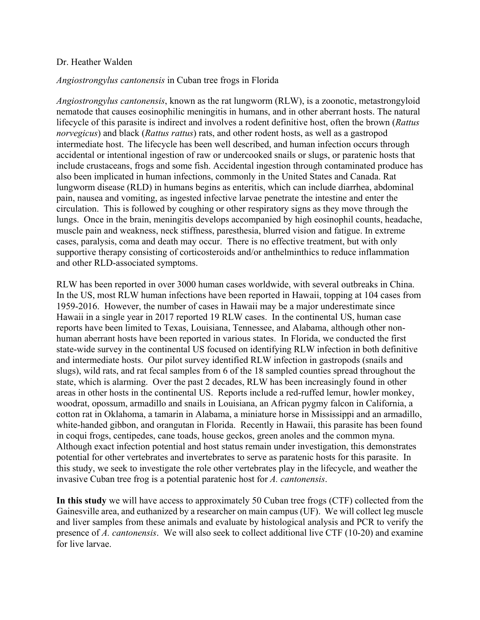## Dr. Heather Walden

## *Angiostrongylus cantonensis* in Cuban tree frogs in Florida

*Angiostrongylus cantonensis*, known as the rat lungworm (RLW), is a zoonotic, metastrongyloid nematode that causes eosinophilic meningitis in humans, and in other aberrant hosts. The natural lifecycle of this parasite is indirect and involves a rodent definitive host, often the brown (*Rattus norvegicus*) and black (*Rattus rattus*) rats, and other rodent hosts, as well as a gastropod intermediate host. The lifecycle has been well described, and human infection occurs through accidental or intentional ingestion of raw or undercooked snails or slugs, or paratenic hosts that include crustaceans, frogs and some fish. Accidental ingestion through contaminated produce has also been implicated in human infections, commonly in the United States and Canada. Rat lungworm disease (RLD) in humans begins as enteritis, which can include diarrhea, abdominal pain, nausea and vomiting, as ingested infective larvae penetrate the intestine and enter the circulation. This is followed by coughing or other respiratory signs as they move through the lungs. Once in the brain, meningitis develops accompanied by high eosinophil counts, headache, muscle pain and weakness, neck stiffness, paresthesia, blurred vision and fatigue. In extreme cases, paralysis, coma and death may occur. There is no effective treatment, but with only supportive therapy consisting of corticosteroids and/or anthelminthics to reduce inflammation and other RLD-associated symptoms.

RLW has been reported in over 3000 human cases worldwide, with several outbreaks in China. In the US, most RLW human infections have been reported in Hawaii, topping at 104 cases from 1959-2016. However, the number of cases in Hawaii may be a major underestimate since Hawaii in a single year in 2017 reported 19 RLW cases. In the continental US, human case reports have been limited to Texas, Louisiana, Tennessee, and Alabama, although other nonhuman aberrant hosts have been reported in various states. In Florida, we conducted the first state-wide survey in the continental US focused on identifying RLW infection in both definitive and intermediate hosts. Our pilot survey identified RLW infection in gastropods (snails and slugs), wild rats, and rat fecal samples from 6 of the 18 sampled counties spread throughout the state, which is alarming. Over the past 2 decades, RLW has been increasingly found in other areas in other hosts in the continental US. Reports include a red-ruffed lemur, howler monkey, woodrat, opossum, armadillo and snails in Louisiana, an African pygmy falcon in California, a cotton rat in Oklahoma, a tamarin in Alabama, a miniature horse in Mississippi and an armadillo, white-handed gibbon, and orangutan in Florida. Recently in Hawaii, this parasite has been found in coqui frogs, centipedes, cane toads, house geckos, green anoles and the common myna. Although exact infection potential and host status remain under investigation, this demonstrates potential for other vertebrates and invertebrates to serve as paratenic hosts for this parasite. In this study, we seek to investigate the role other vertebrates play in the lifecycle, and weather the invasive Cuban tree frog is a potential paratenic host for *A. cantonensis*.

**In this study** we will have access to approximately 50 Cuban tree frogs (CTF) collected from the Gainesville area, and euthanized by a researcher on main campus (UF). We will collect leg muscle and liver samples from these animals and evaluate by histological analysis and PCR to verify the presence of *A. cantonensis*. We will also seek to collect additional live CTF (10-20) and examine for live larvae.